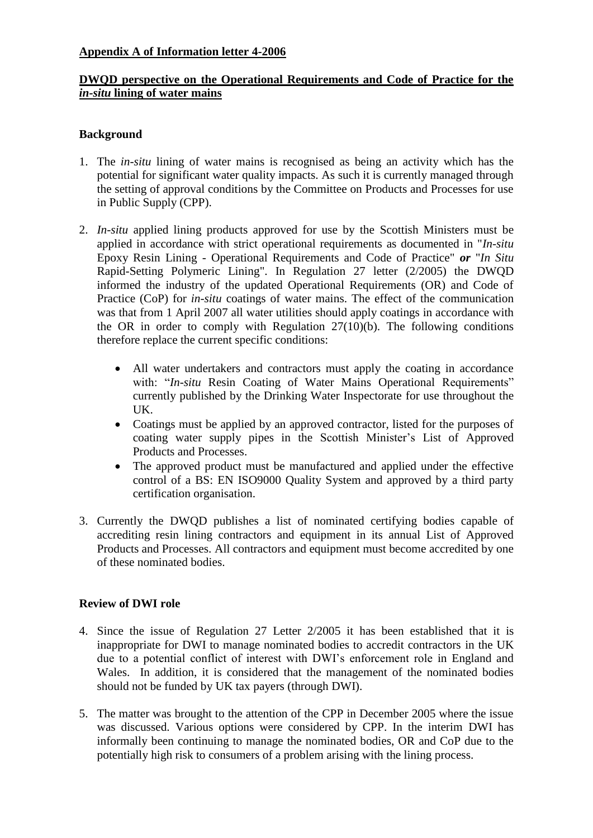## **DWQD perspective on the Operational Requirements and Code of Practice for the**  *in-situ* **lining of water mains**

## **Background**

- 1. The *in-situ* lining of water mains is recognised as being an activity which has the potential for significant water quality impacts. As such it is currently managed through the setting of approval conditions by the Committee on Products and Processes for use in Public Supply (CPP).
- 2. *In-situ* applied lining products approved for use by the Scottish Ministers must be applied in accordance with strict operational requirements as documented in "*In-situ* Epoxy Resin Lining - Operational Requirements and Code of Practice" *or* "*In Situ*  Rapid-Setting Polymeric Lining". In Regulation 27 letter (2/2005) the DWQD informed the industry of the updated Operational Requirements (OR) and Code of Practice (CoP) for *in-situ* coatings of water mains. The effect of the communication was that from 1 April 2007 all water utilities should apply coatings in accordance with the OR in order to comply with Regulation  $27(10)(b)$ . The following conditions therefore replace the current specific conditions:
	- All water undertakers and contractors must apply the coating in accordance with: "*In-situ* Resin Coating of Water Mains Operational Requirements" currently published by the Drinking Water Inspectorate for use throughout the UK.
	- Coatings must be applied by an approved contractor, listed for the purposes of coating water supply pipes in the Scottish Minister's List of Approved Products and Processes.
	- The approved product must be manufactured and applied under the effective control of a BS: EN ISO9000 Quality System and approved by a third party certification organisation.
- 3. Currently the DWQD publishes a list of nominated certifying bodies capable of accrediting resin lining contractors and equipment in its annual List of Approved Products and Processes. All contractors and equipment must become accredited by one of these nominated bodies.

## **Review of DWI role**

- 4. Since the issue of Regulation 27 Letter 2/2005 it has been established that it is inappropriate for DWI to manage nominated bodies to accredit contractors in the UK due to a potential conflict of interest with DWI's enforcement role in England and Wales. In addition, it is considered that the management of the nominated bodies should not be funded by UK tax payers (through DWI).
- 5. The matter was brought to the attention of the CPP in December 2005 where the issue was discussed. Various options were considered by CPP. In the interim DWI has informally been continuing to manage the nominated bodies, OR and CoP due to the potentially high risk to consumers of a problem arising with the lining process.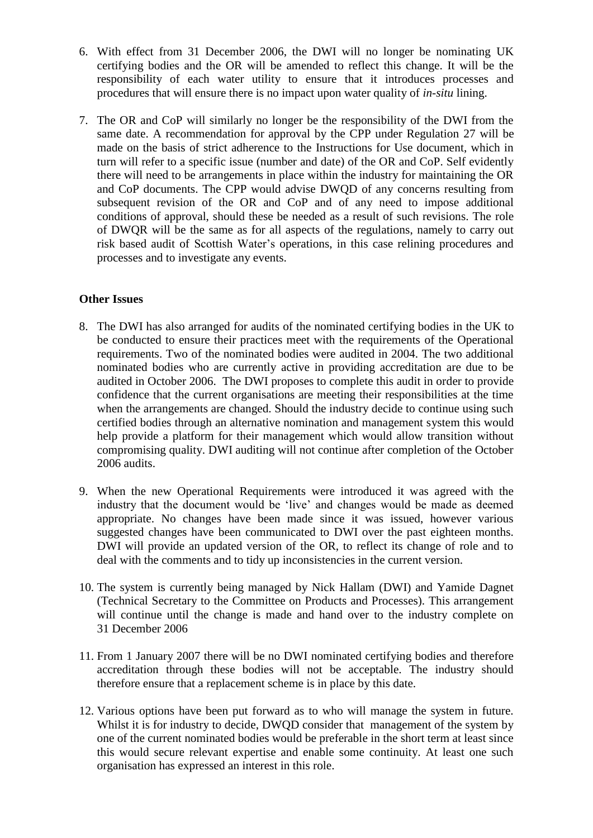- 6. With effect from 31 December 2006, the DWI will no longer be nominating UK certifying bodies and the OR will be amended to reflect this change. It will be the responsibility of each water utility to ensure that it introduces processes and procedures that will ensure there is no impact upon water quality of *in-situ* lining.
- 7. The OR and CoP will similarly no longer be the responsibility of the DWI from the same date. A recommendation for approval by the CPP under Regulation 27 will be made on the basis of strict adherence to the Instructions for Use document, which in turn will refer to a specific issue (number and date) of the OR and CoP. Self evidently there will need to be arrangements in place within the industry for maintaining the OR and CoP documents. The CPP would advise DWQD of any concerns resulting from subsequent revision of the OR and CoP and of any need to impose additional conditions of approval, should these be needed as a result of such revisions. The role of DWQR will be the same as for all aspects of the regulations, namely to carry out risk based audit of Scottish Water's operations, in this case relining procedures and processes and to investigate any events.

## **Other Issues**

- 8. The DWI has also arranged for audits of the nominated certifying bodies in the UK to be conducted to ensure their practices meet with the requirements of the Operational requirements. Two of the nominated bodies were audited in 2004. The two additional nominated bodies who are currently active in providing accreditation are due to be audited in October 2006. The DWI proposes to complete this audit in order to provide confidence that the current organisations are meeting their responsibilities at the time when the arrangements are changed. Should the industry decide to continue using such certified bodies through an alternative nomination and management system this would help provide a platform for their management which would allow transition without compromising quality. DWI auditing will not continue after completion of the October 2006 audits.
- 9. When the new Operational Requirements were introduced it was agreed with the industry that the document would be 'live' and changes would be made as deemed appropriate. No changes have been made since it was issued, however various suggested changes have been communicated to DWI over the past eighteen months. DWI will provide an updated version of the OR, to reflect its change of role and to deal with the comments and to tidy up inconsistencies in the current version.
- 10. The system is currently being managed by Nick Hallam (DWI) and Yamide Dagnet (Technical Secretary to the Committee on Products and Processes). This arrangement will continue until the change is made and hand over to the industry complete on 31 December 2006
- 11. From 1 January 2007 there will be no DWI nominated certifying bodies and therefore accreditation through these bodies will not be acceptable. The industry should therefore ensure that a replacement scheme is in place by this date.
- 12. Various options have been put forward as to who will manage the system in future. Whilst it is for industry to decide, DWQD consider that management of the system by one of the current nominated bodies would be preferable in the short term at least since this would secure relevant expertise and enable some continuity. At least one such organisation has expressed an interest in this role.